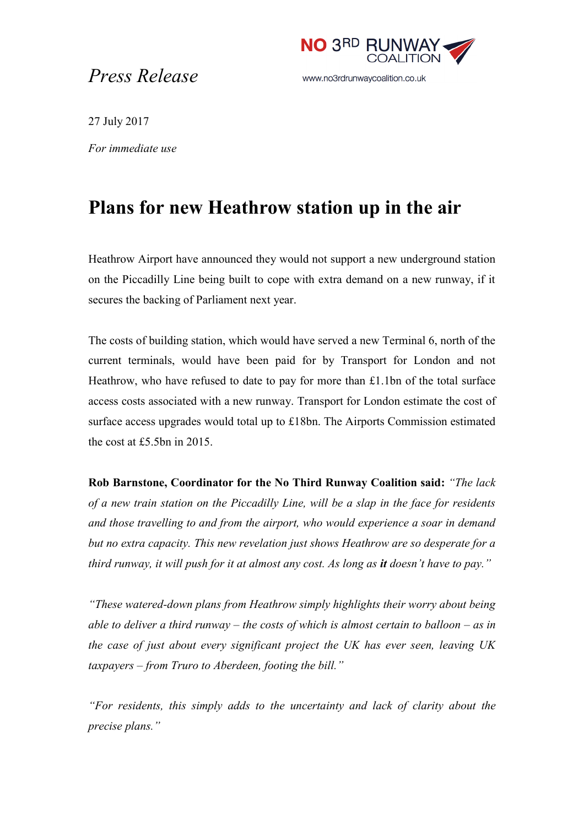## *Press Release*



27 July 2017

*For immediate use*

## **Plans for new Heathrow station up in the air**

Heathrow Airport have announced they would not support a new underground station on the Piccadilly Line being built to cope with extra demand on a new runway, if it secures the backing of Parliament next year.

The costs of building station, which would have served a new Terminal 6, north of the current terminals, would have been paid for by Transport for London and not Heathrow, who have refused to date to pay for more than £1.1bn of the total surface access costs associated with a new runway. Transport for London estimate the cost of surface access upgrades would total up to £18bn. The Airports Commission estimated the cost at £5.5bn in 2015.

**Rob Barnstone, Coordinator for the No Third Runway Coalition said:** *"The lack of a new train station on the Piccadilly Line, will be a slap in the face for residents and those travelling to and from the airport, who would experience a soar in demand but no extra capacity. This new revelation just shows Heathrow are so desperate for a third runway, it will push for it at almost any cost. As long as it doesn't have to pay."*

*"These watered-down plans from Heathrow simply highlights their worry about being able to deliver a third runway – the costs of which is almost certain to balloon – as in the case of just about every significant project the UK has ever seen, leaving UK taxpayers – from Truro to Aberdeen, footing the bill."*

*"For residents, this simply adds to the uncertainty and lack of clarity about the precise plans."*